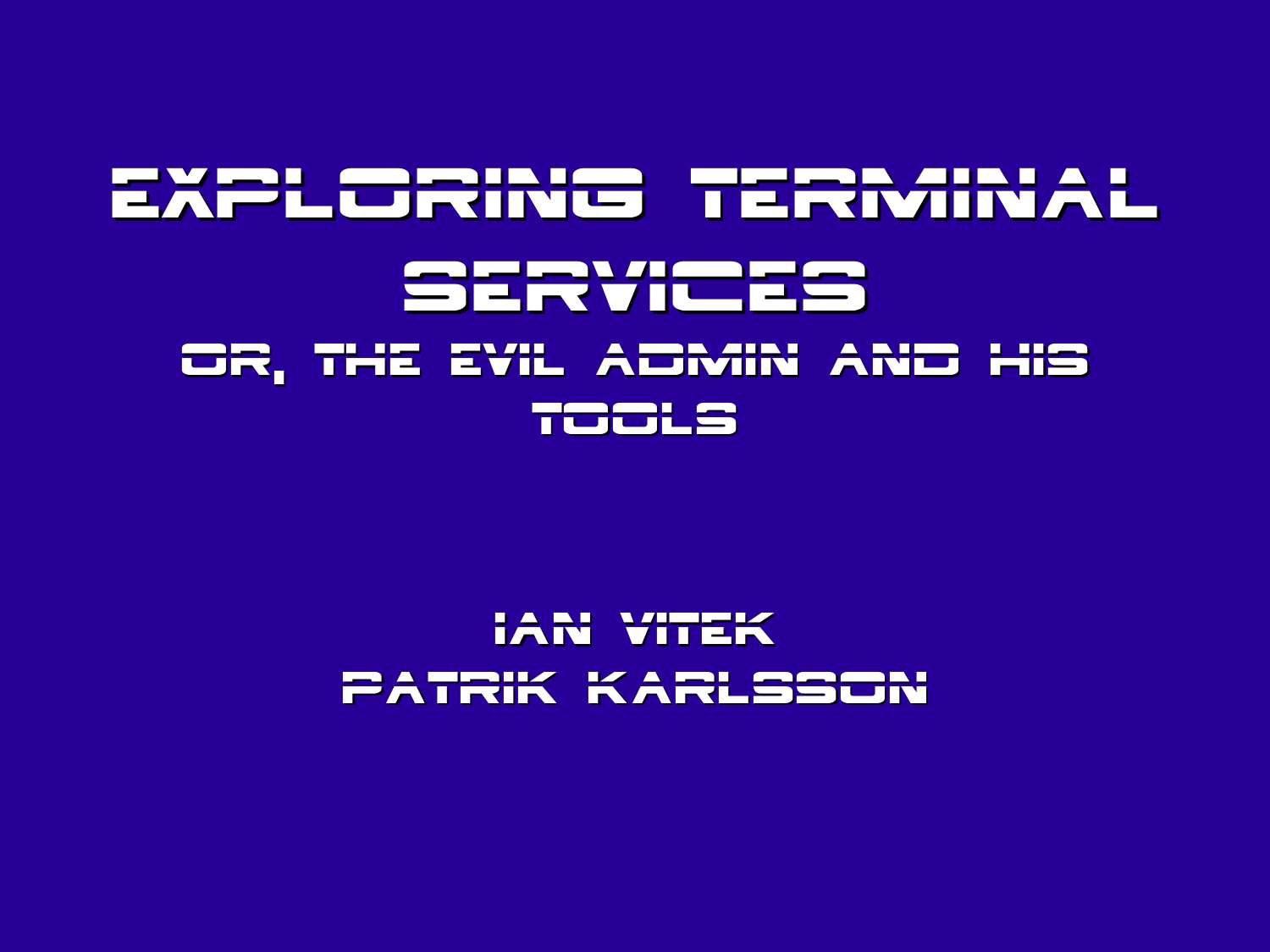### EXPLORING TERMINAL Services Or, The Evil Admin And His Tools

#### IAN VITEK Patrik Karlsson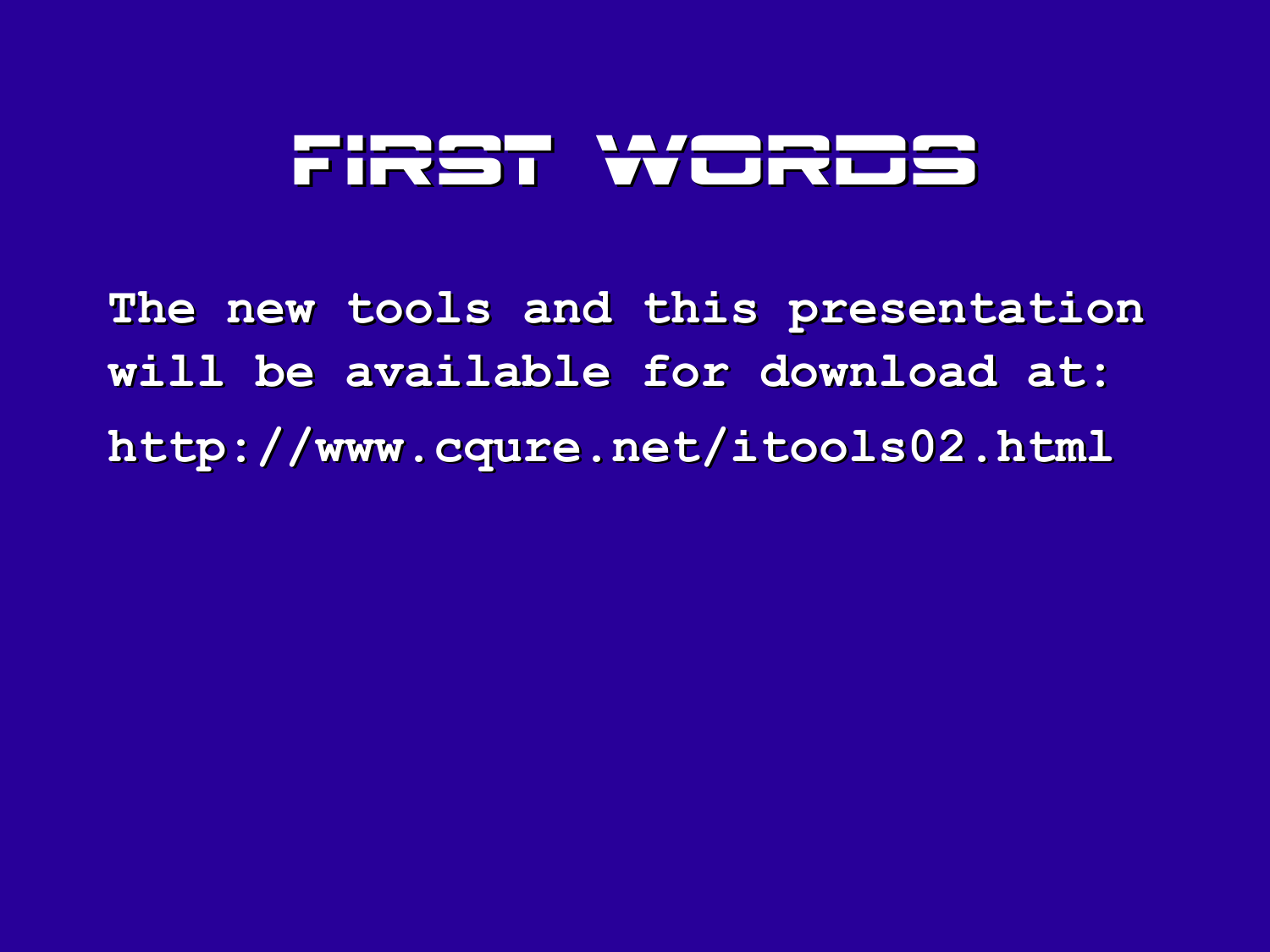#### FIRST WORDS

**The new tools and this presentation will be available for download at: http://www.cqure.net/itools02.html**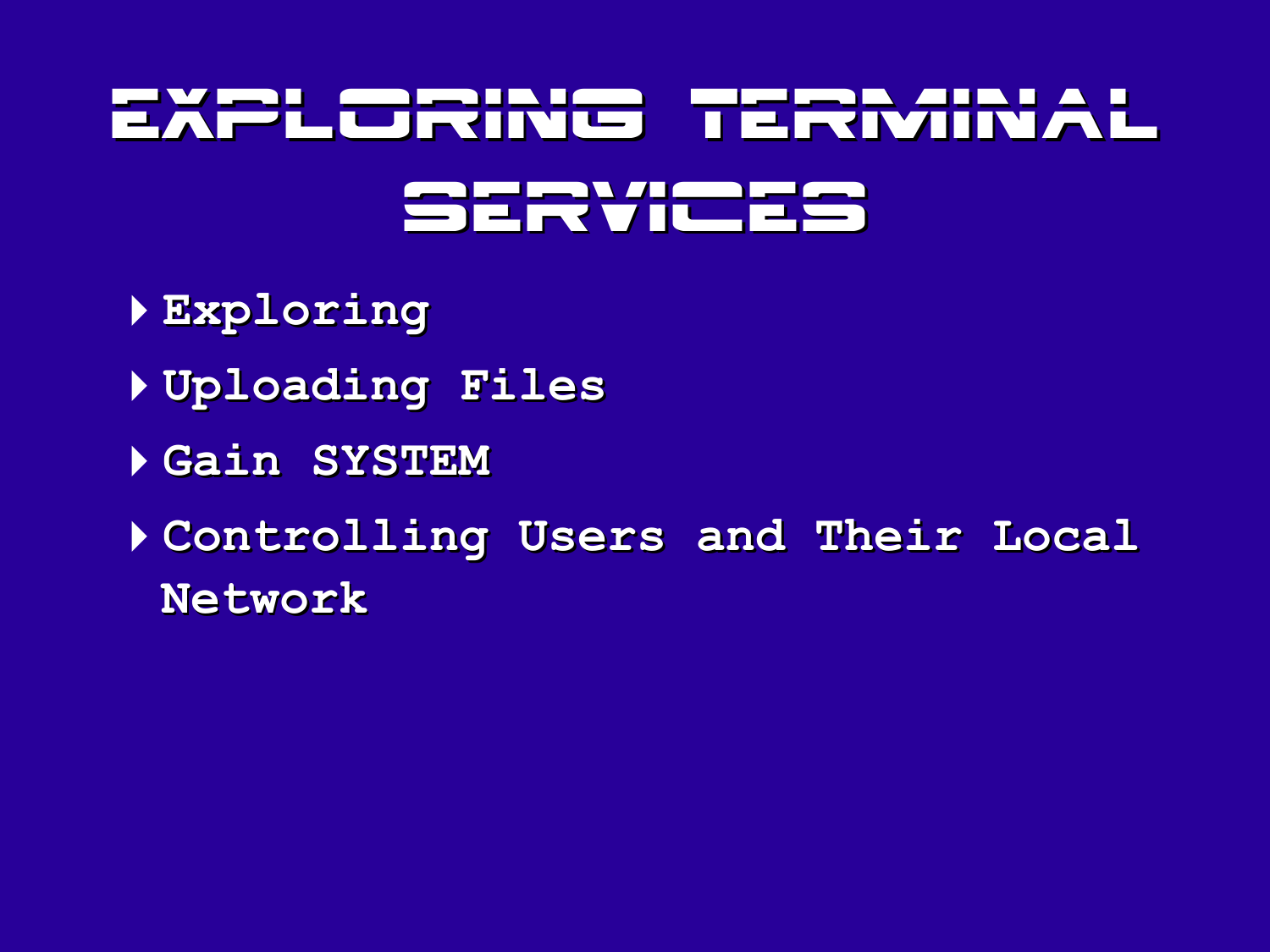# Exploring Text in the AL Services

- 4**Exploring**
- 4**Uploading Files**
- 4**Gain SYSTEM**
- 4**Controlling Users and Their Local Network**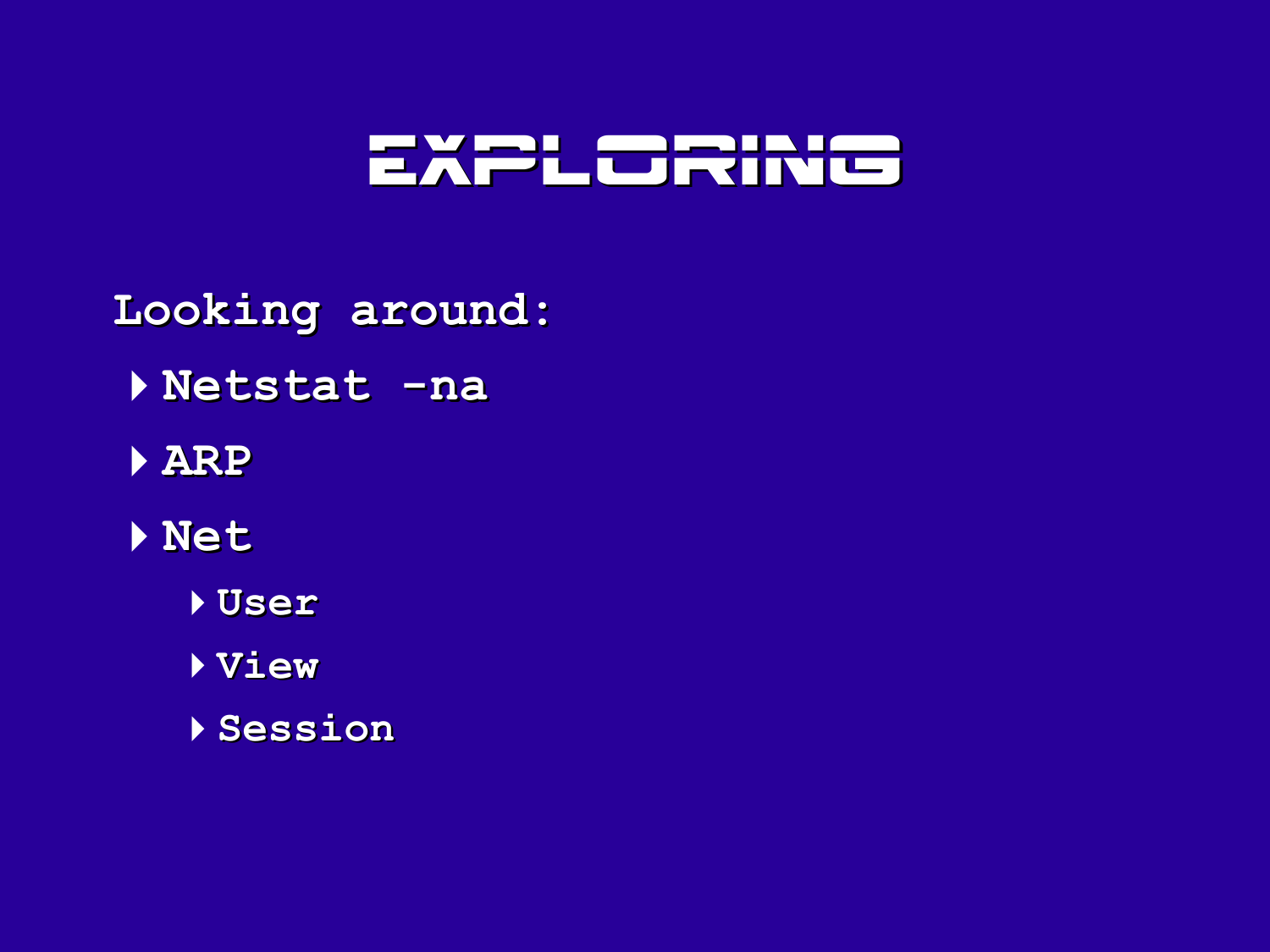

**Looking around: Netstat -na ARP Net User View Session**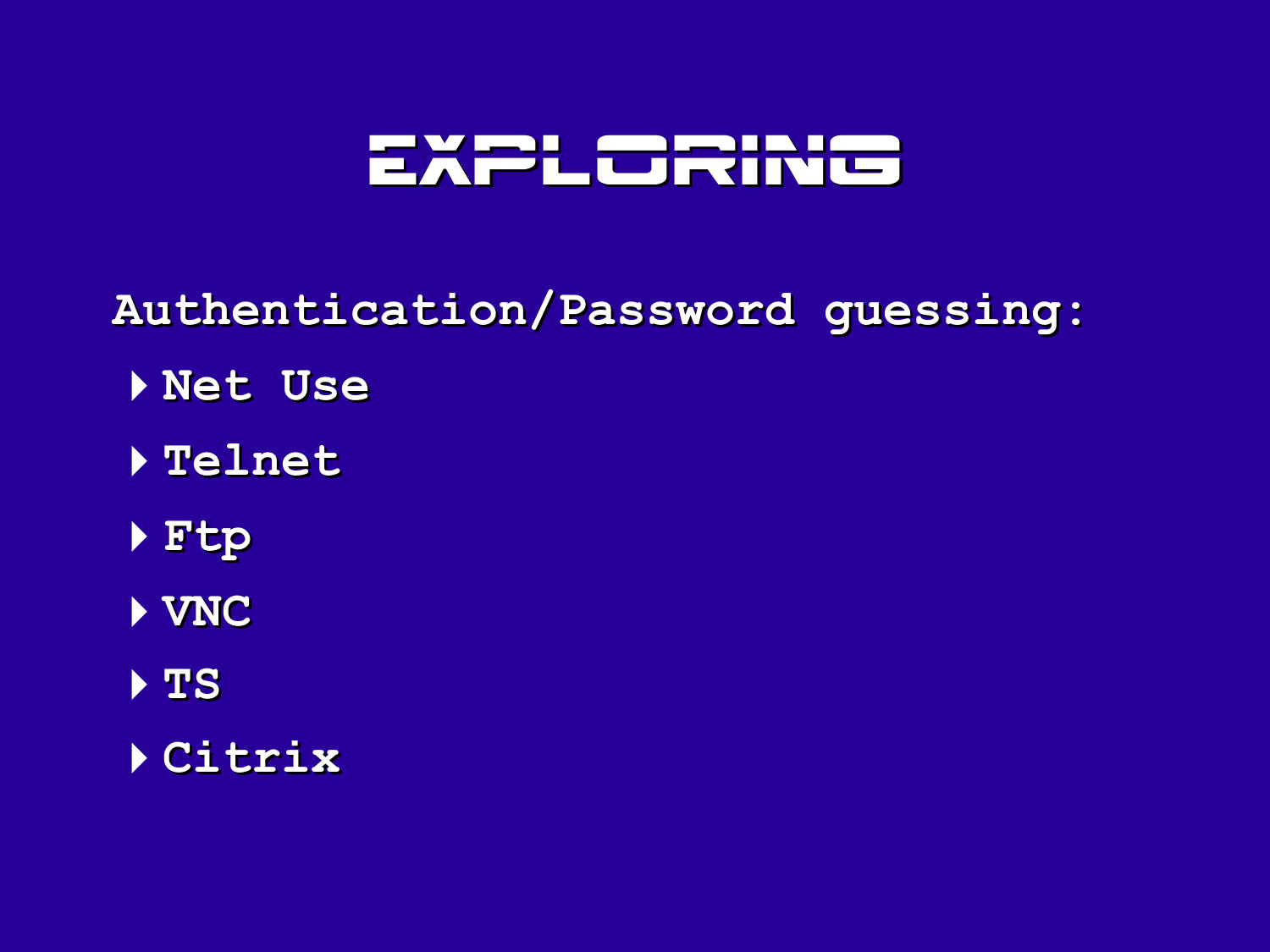#### Exploring

**Authentication/Password guessing:**

- **Net Use**
- **Telnet**
- **Ftp**
- **VNC**
- **TS**
- **Citrix**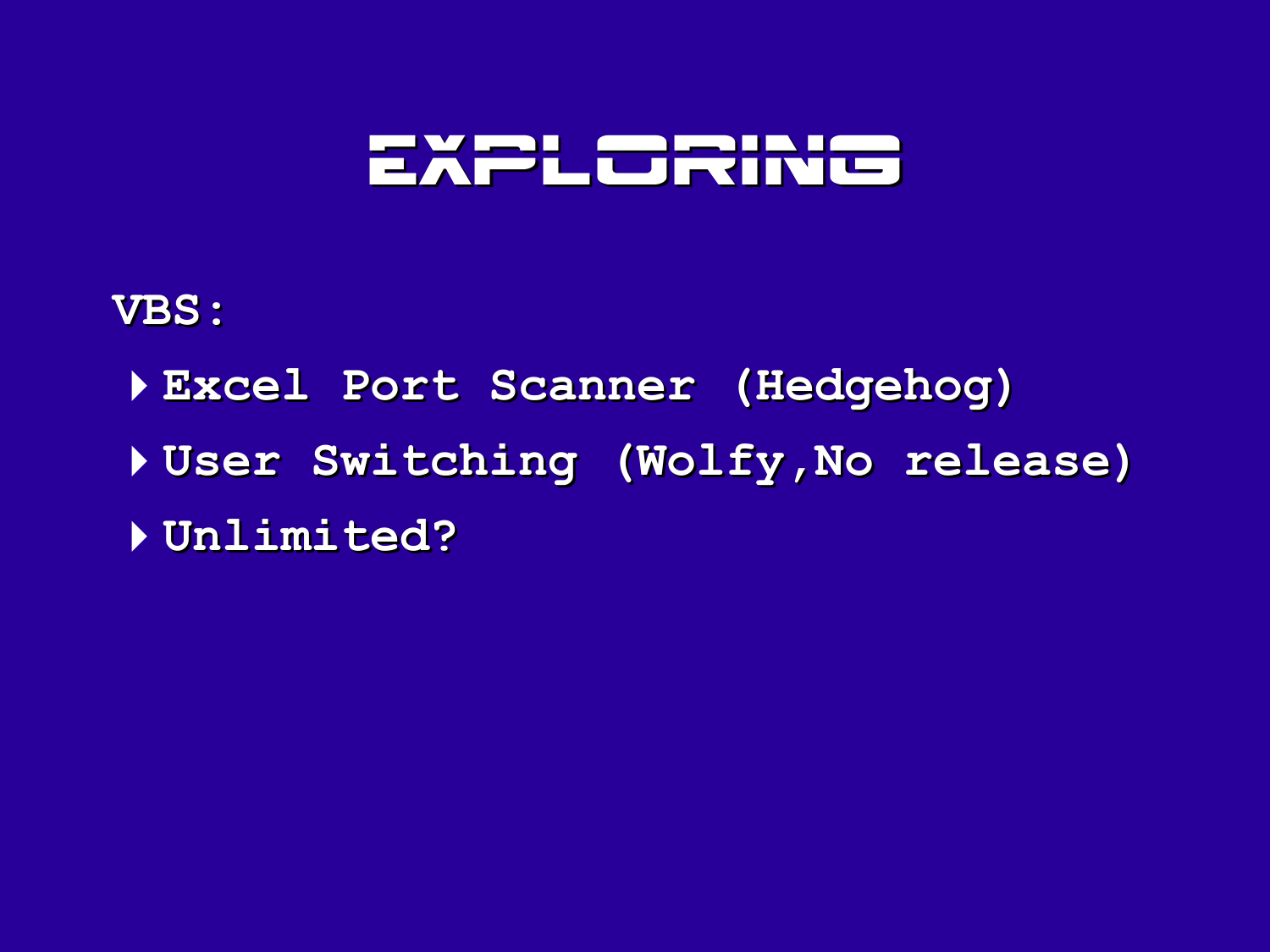#### Exploring

#### **VBS:**

4**Excel Port Scanner (Hedgehog)** 4**User Switching (Wolfy,No release)** 4**Unlimited?**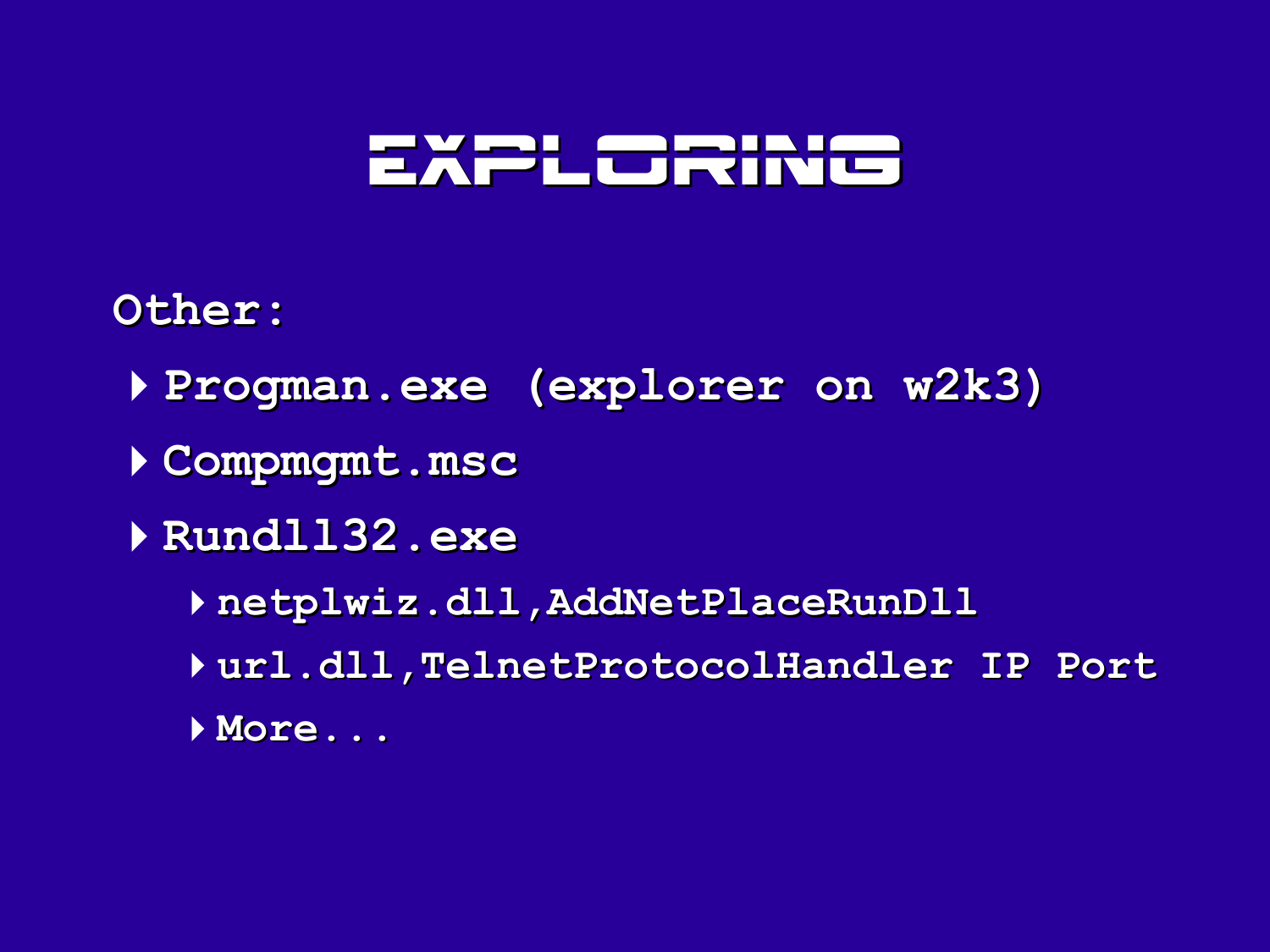#### Exploring

#### **Other:**

- **Progman.exe (explorer on w2k3)**
- **Compmgmt.msc**
- **Rundll32.exe**
	- **netplwiz.dll,AddNetPlaceRunDll**
	- **url.dll,TelnetProtocolHandler IP Port**
	- **More...**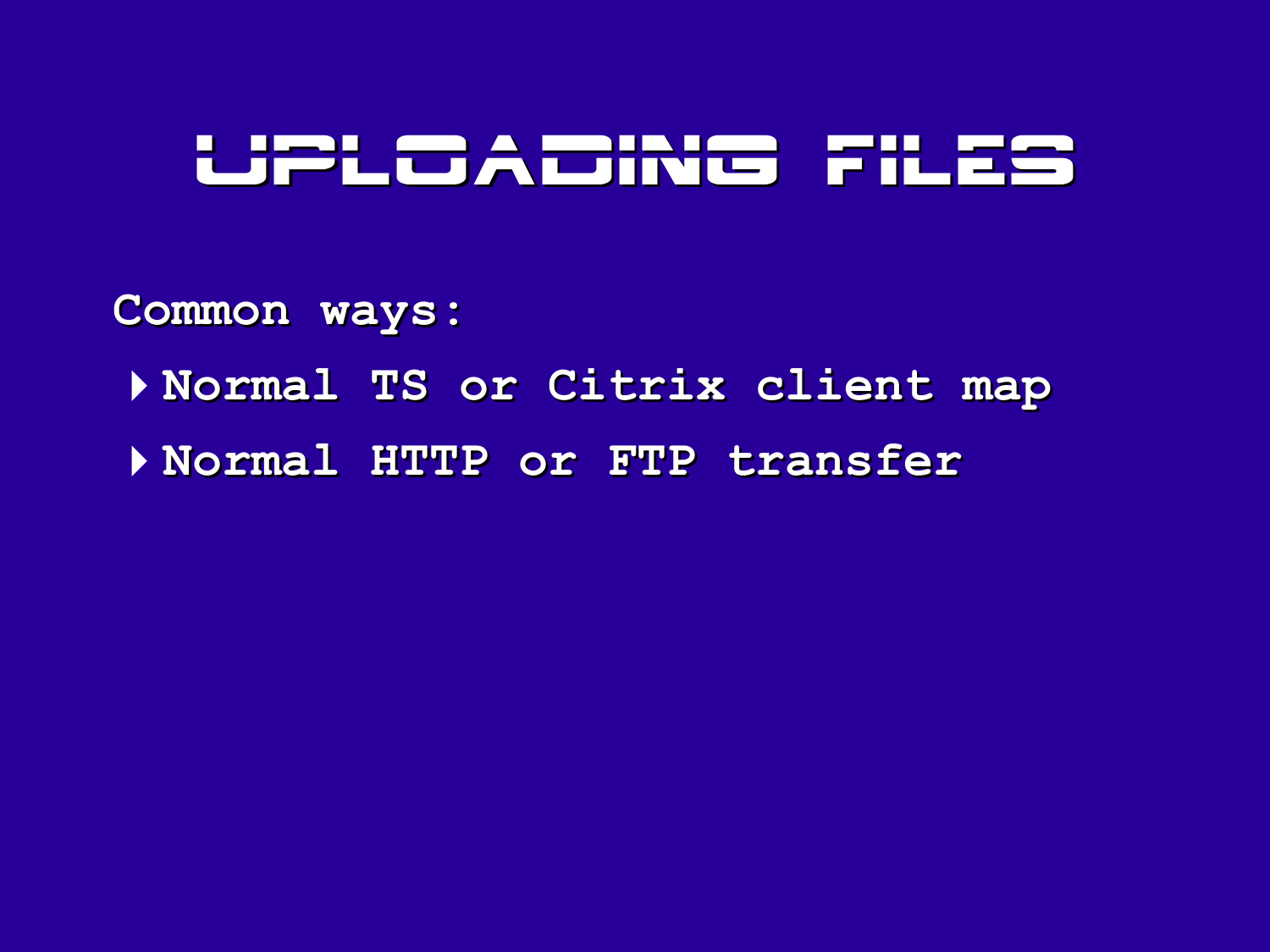### Uploading files

**Common ways:**

- 4**Normal TS or Citrix client map**
- 4**Normal HTTP or FTP transfer**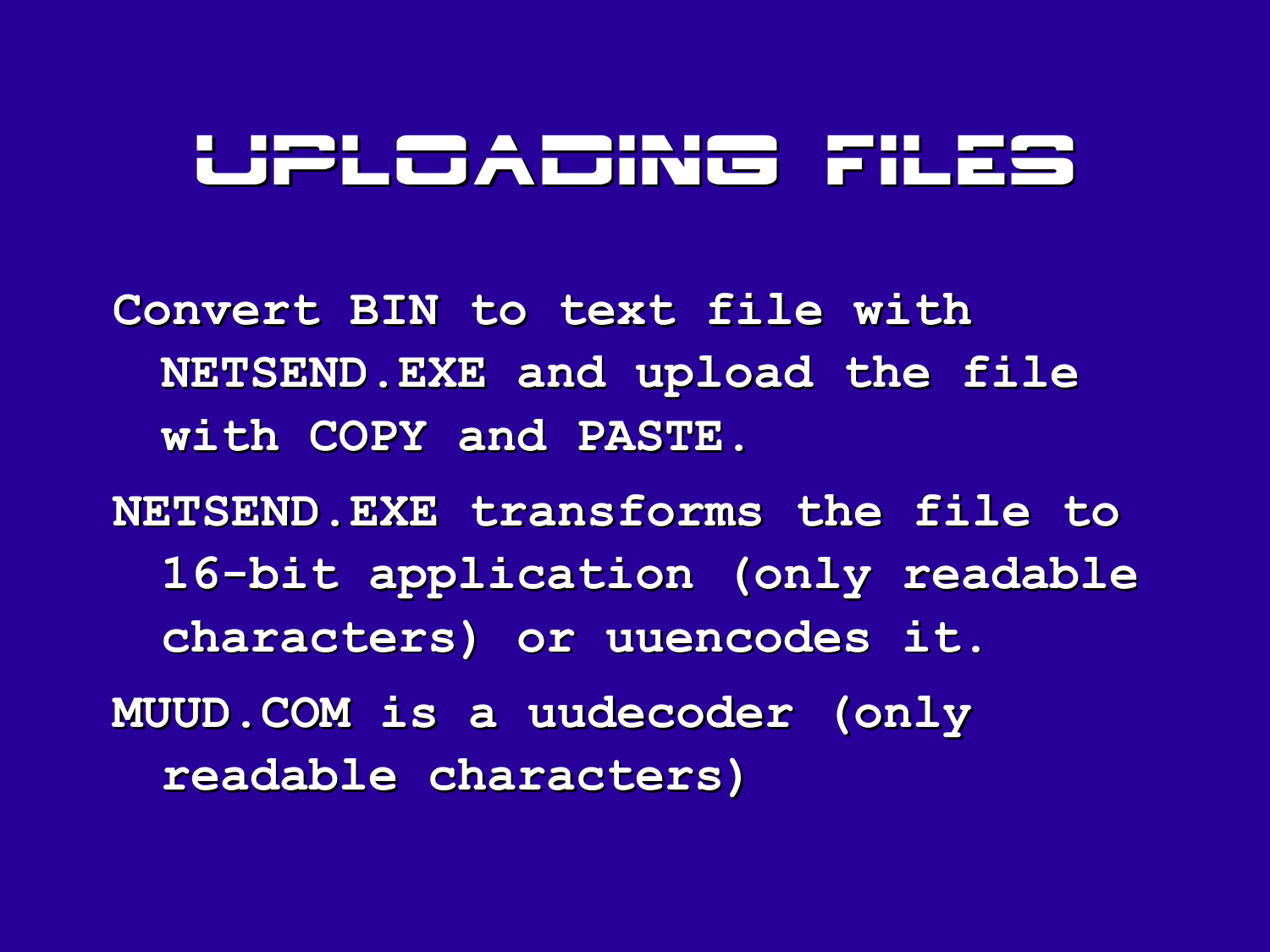#### Uploading Files

**Convert BIN to text file with NETSEND.EXE and upload the file with COPY and PASTE.**

**NETSEND.EXE transforms the file to 16-bit application (only readable characters) or uuencodes it. MUUD.COM is a uudecoder (only readable characters)**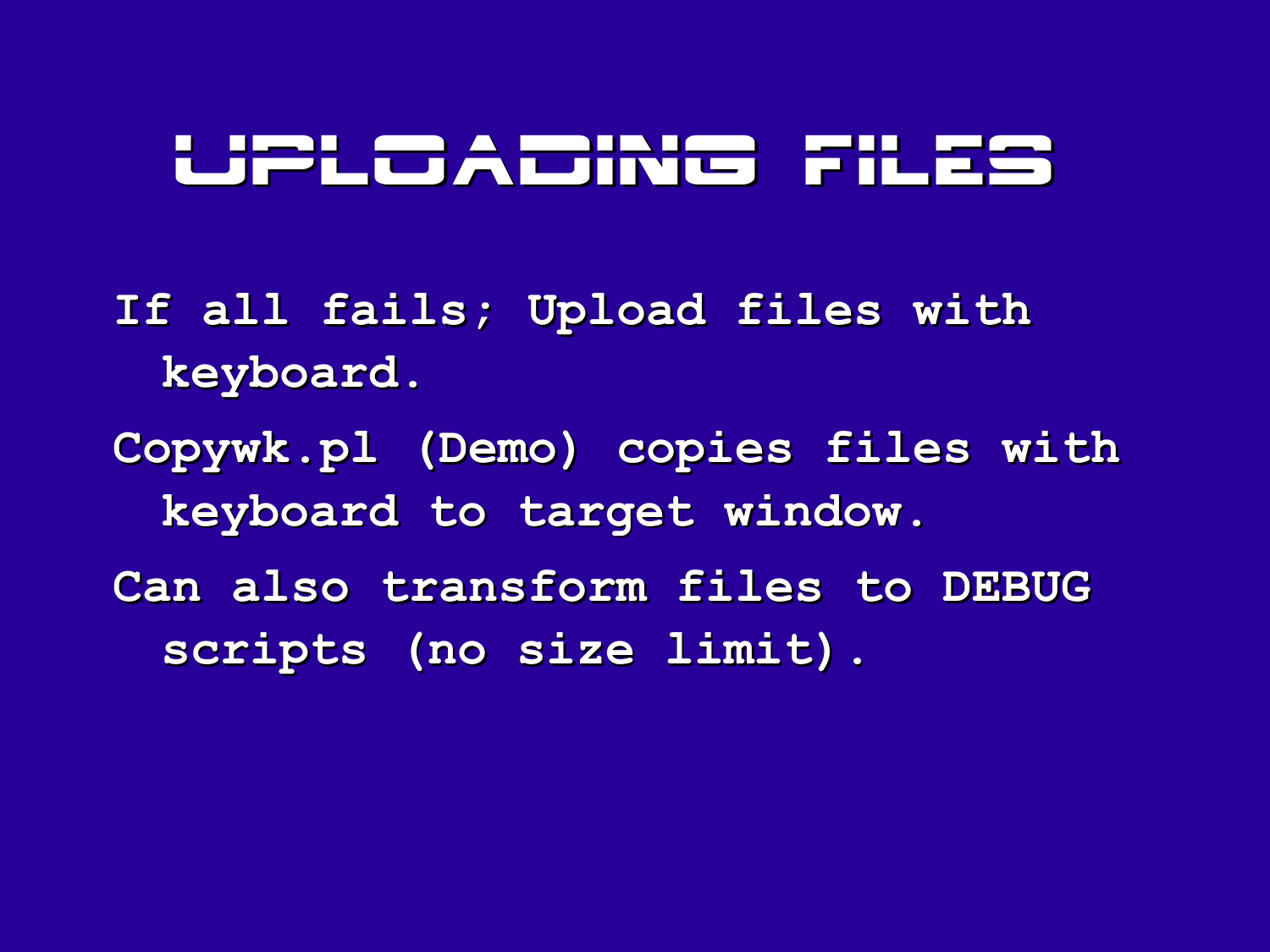### Uploading Files

**If all fails; Upload files with keyboard.**

**Copywk.pl (Demo) copies files with keyboard to target window.**

**Can also transform files to DEBUG scripts (no size limit).**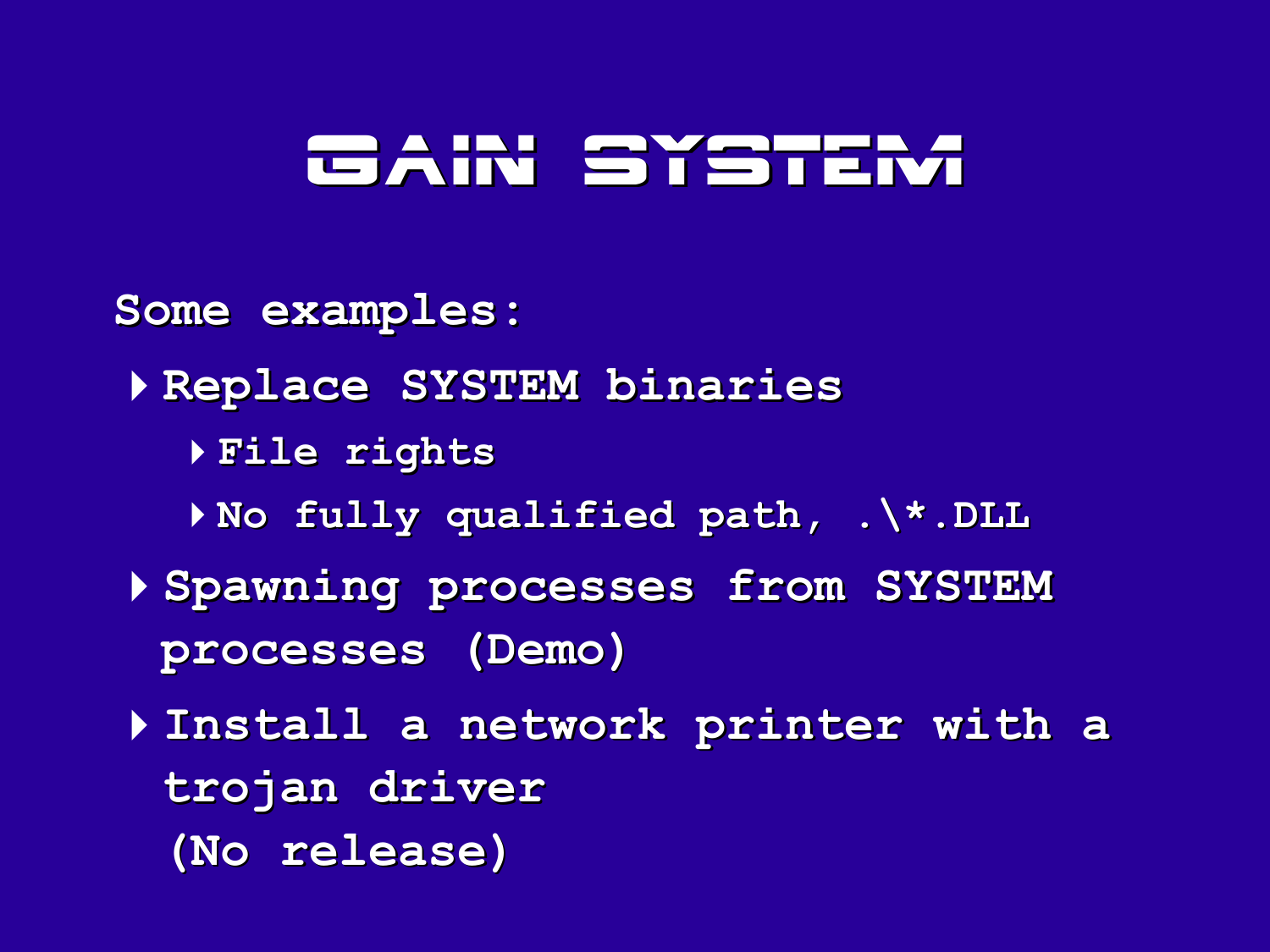# Gain SYSTEM

**Some examples:**

4**Replace SYSTEM binaries**

4**File rights**

4**No fully qualified path, .\\*.DLL**

4**Spawning processes from SYSTEM processes (Demo)**

4**Install a network printer with a trojan driver (No release)**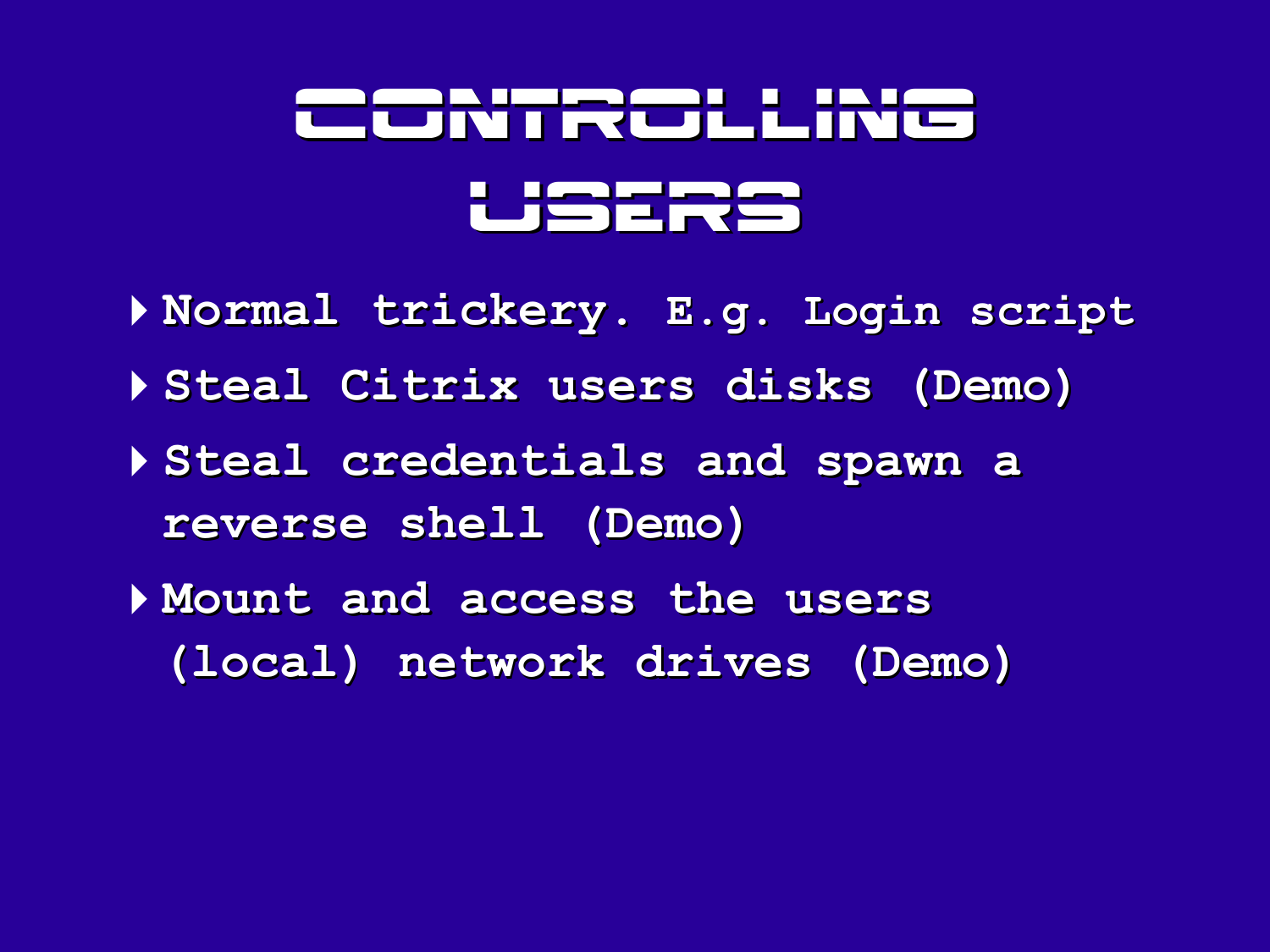# Controlling **|█<del>▕</del>▅**┥▆┢▅

- 4**Normal trickery. E.g. Login script** 4**Steal Citrix users disks (Demo)** 4**Steal credentials and spawn a reverse shell (Demo)** 4**Mount and access the users**
	- **(local) network drives (Demo)**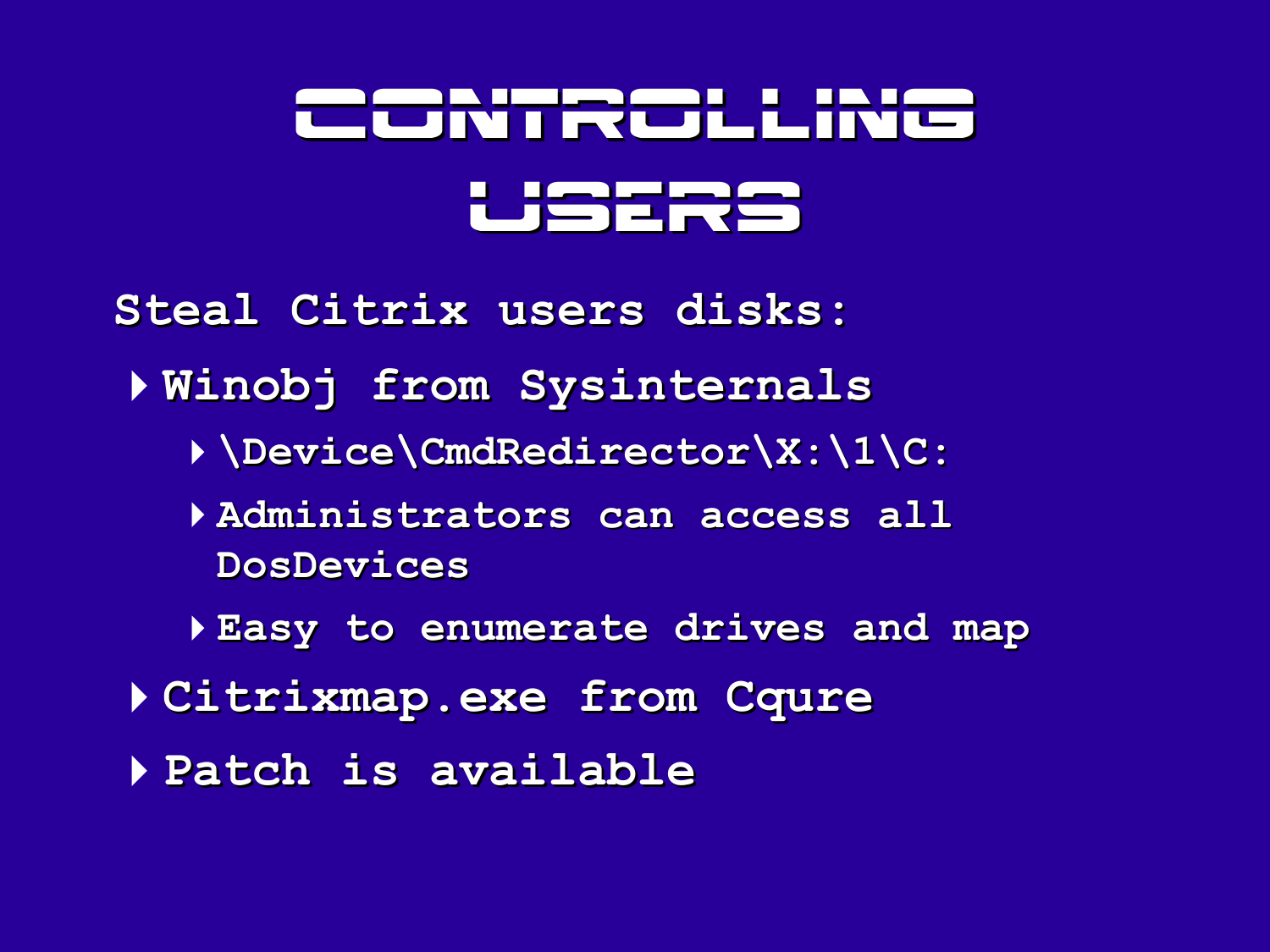# <u>Fridt Collini</u> ═┽┓┲╆

**Steal Citrix users disks:**

- 4**Winobj from Sysinternals**
	- 4**\Device\CmdRedirector\X:\1\C:**
	- 4**Administrators can access all DosDevices**
	- 4**Easy to enumerate drives and map**
- 4**Citrixmap.exe from Cqure**
- 4**Patch is available**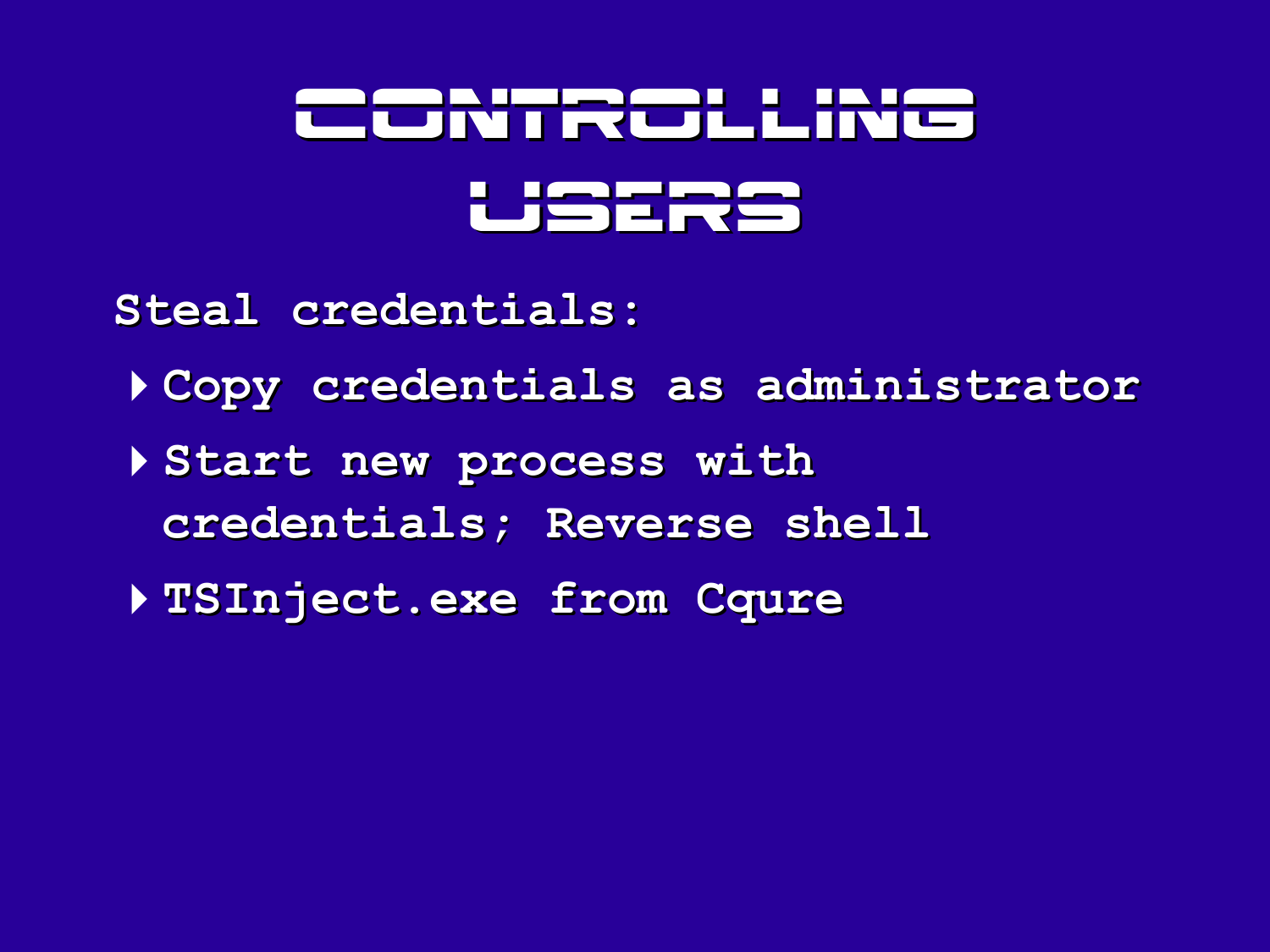# Shirt Citting **Liberate de la vice de la contentación de la contentación de la contentación de la contentación de la conte**

**Steal credentials:**

- 4**Copy credentials as administrator**
- 4**Start new process with credentials; Reverse shell**
- 4**TSInject.exe from Cqure**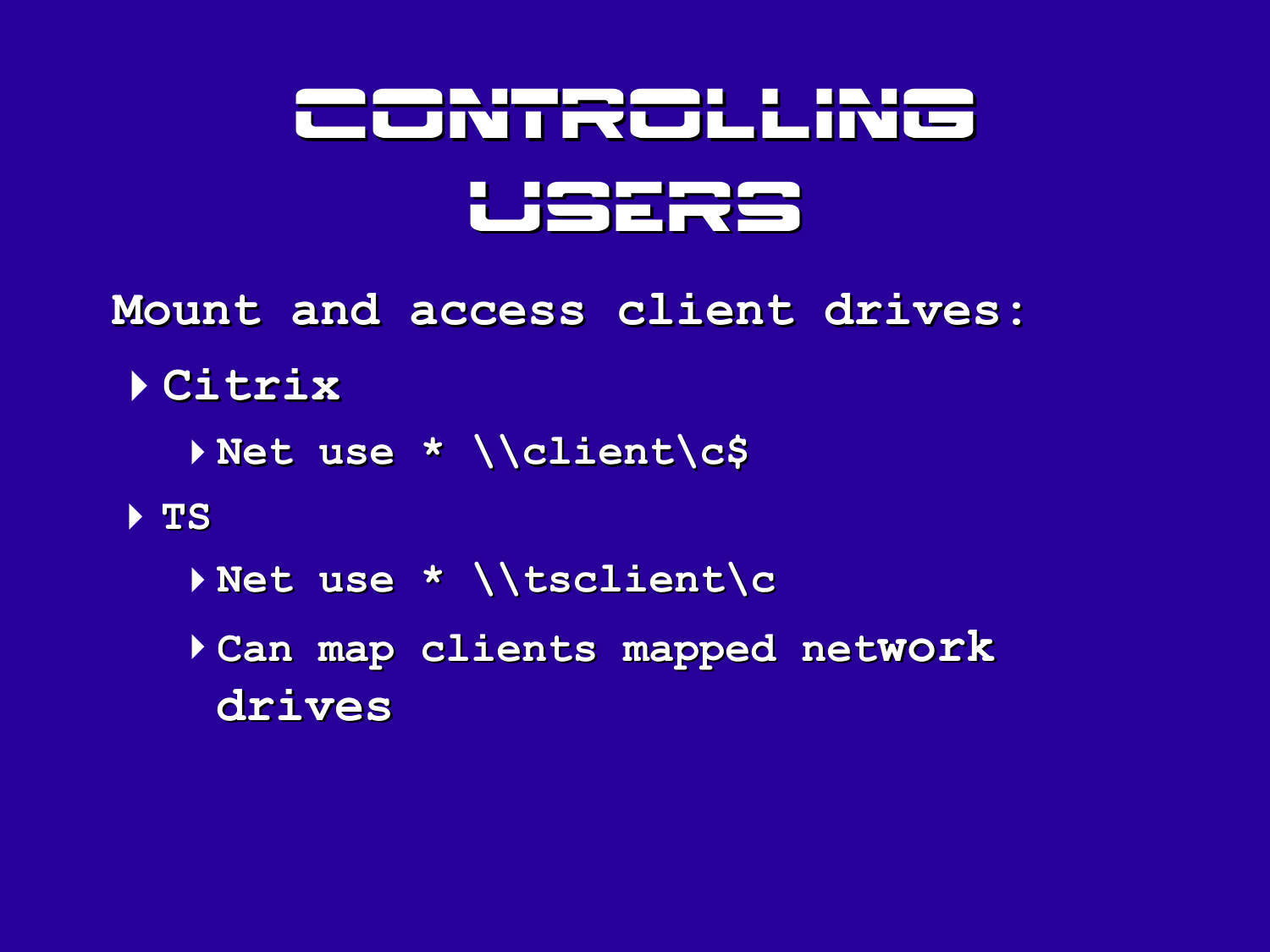# Controlling ═╅═╈╾╈

- **Mount and access client drives:**
	- 4**Citrix**
		- 4**Net use \* \\client\c\$**
	- 4 **TS**
		- 4**Net use \* \\tsclient\c**
		- 4**Can map clients mapped network drives**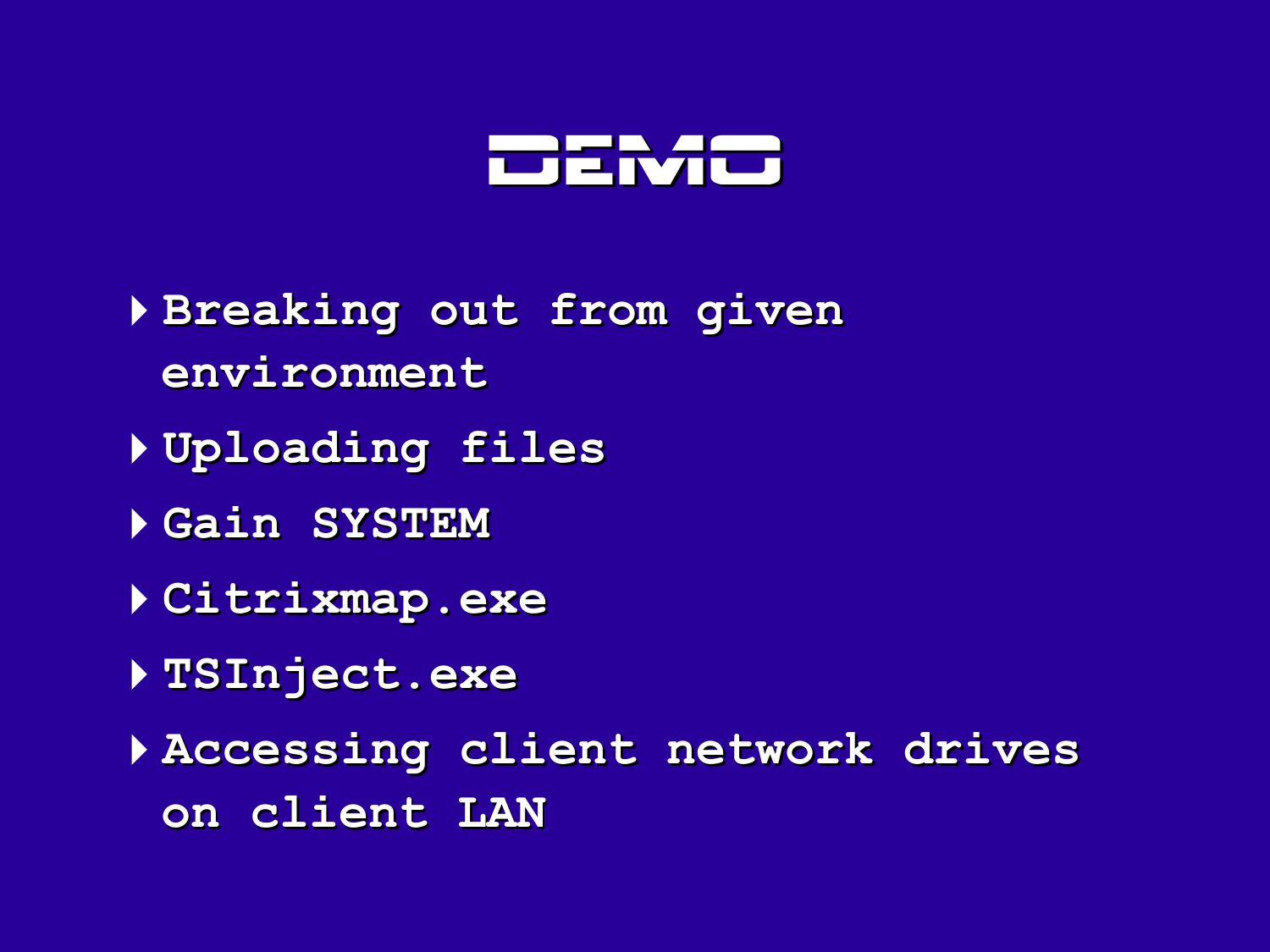

- **Breaking out from given environment**
- **Uploading files**
- **Gain SYSTEM**
- **Citrixmap.exe**
- **TSInject.exe**
- **Accessing client network drives on client LAN**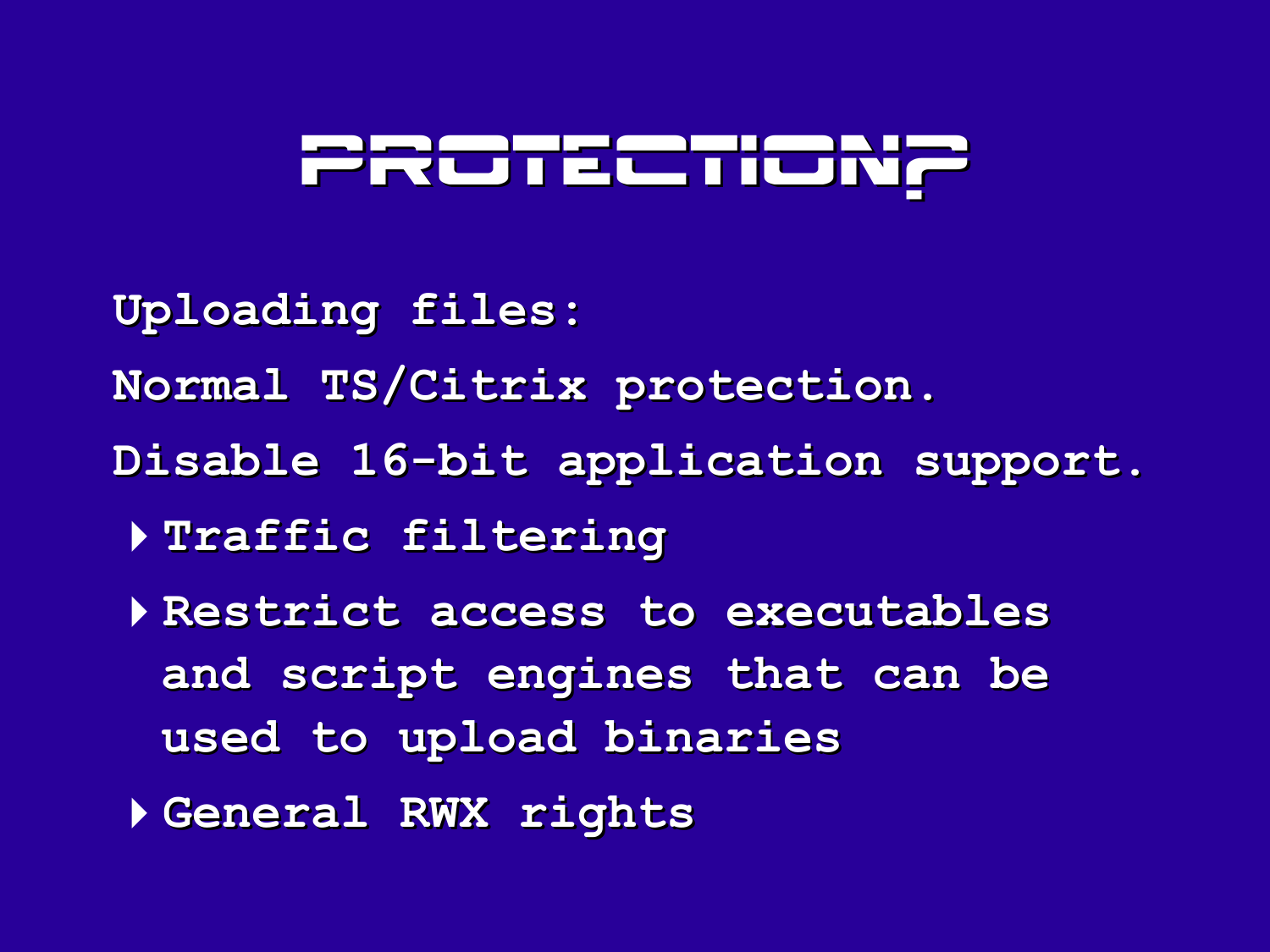# <u>Pronsento</u>

- **Uploading files:**
- **Normal TS/Citrix protection.**
- **Disable 16-bit application support.**
	- 4**Traffic filtering**
	- 4**Restrict access to executables and script engines that can be used to upload binaries**
	- 4**General RWX rights**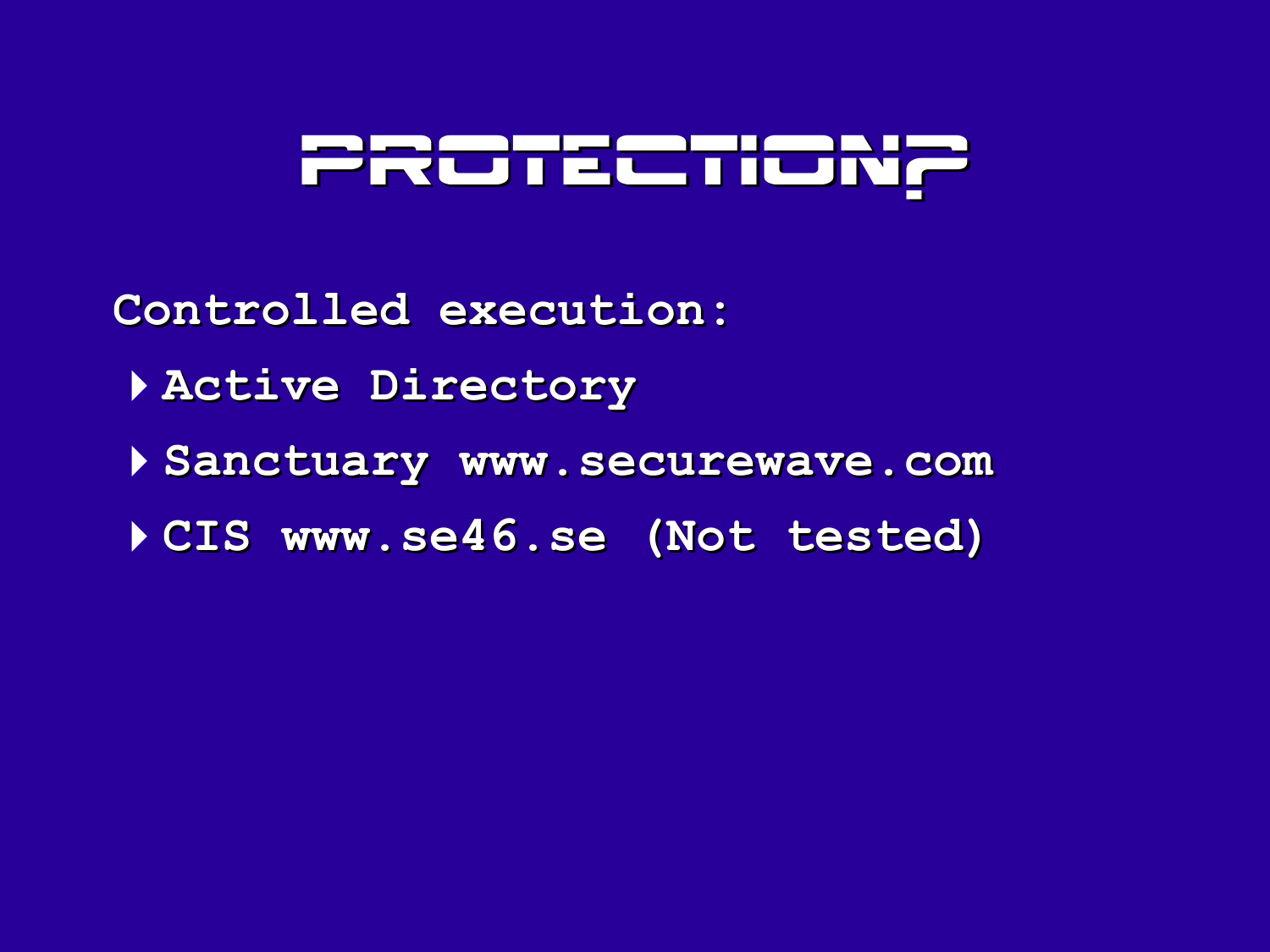# <u>PRotectio</u>

**Controlled execution:**

- 4**Active Directory**
- 4**Sanctuary www.securewave.com**
- 4**CIS www.se46.se (Not tested)**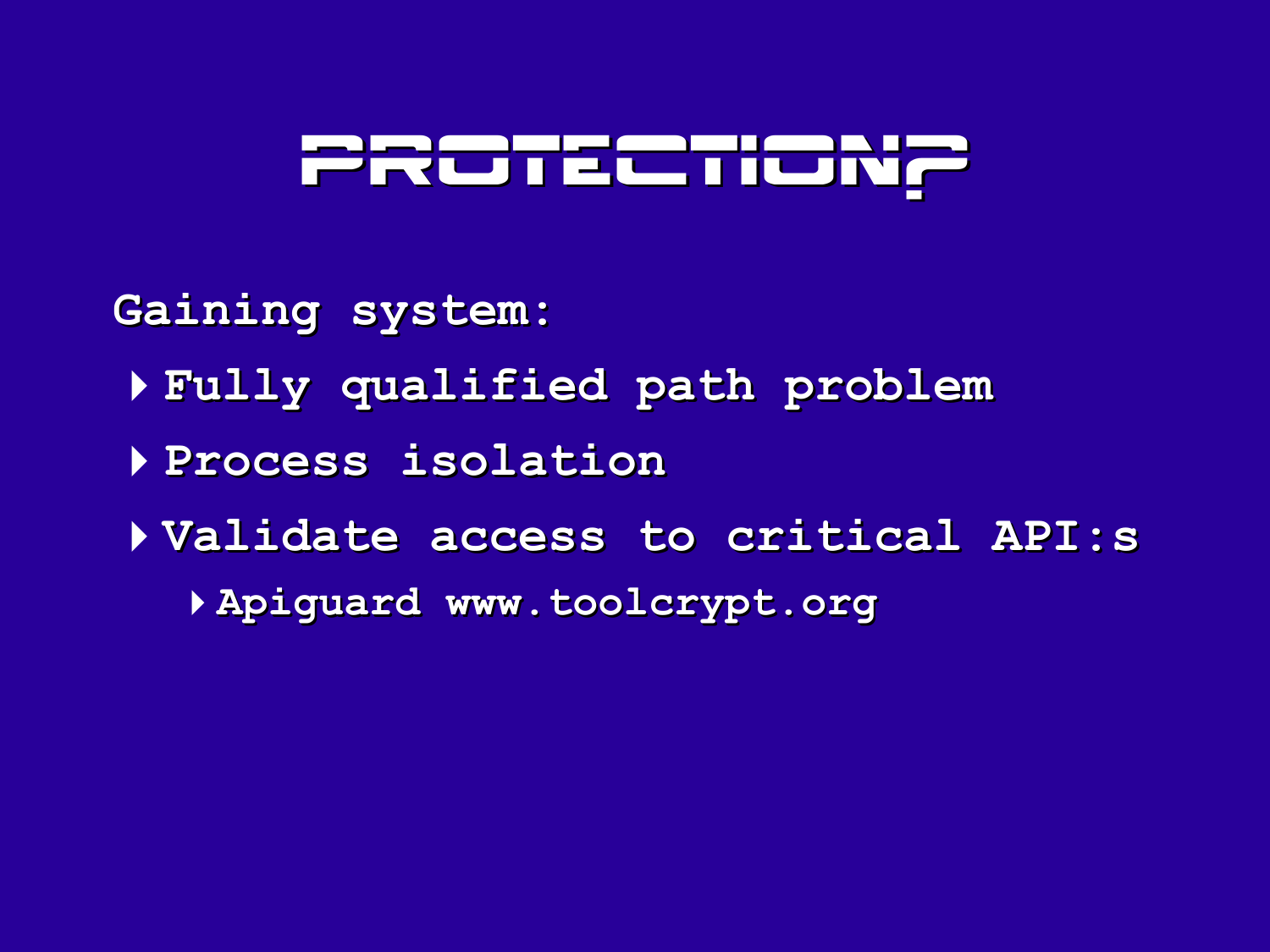# <u>PRonectio</u>

**Gaining system:**

- **Fully qualified path problem**
- **Process isolation**
- **Validate access to critical API:s**
	- **Apiguard www.toolcrypt.org**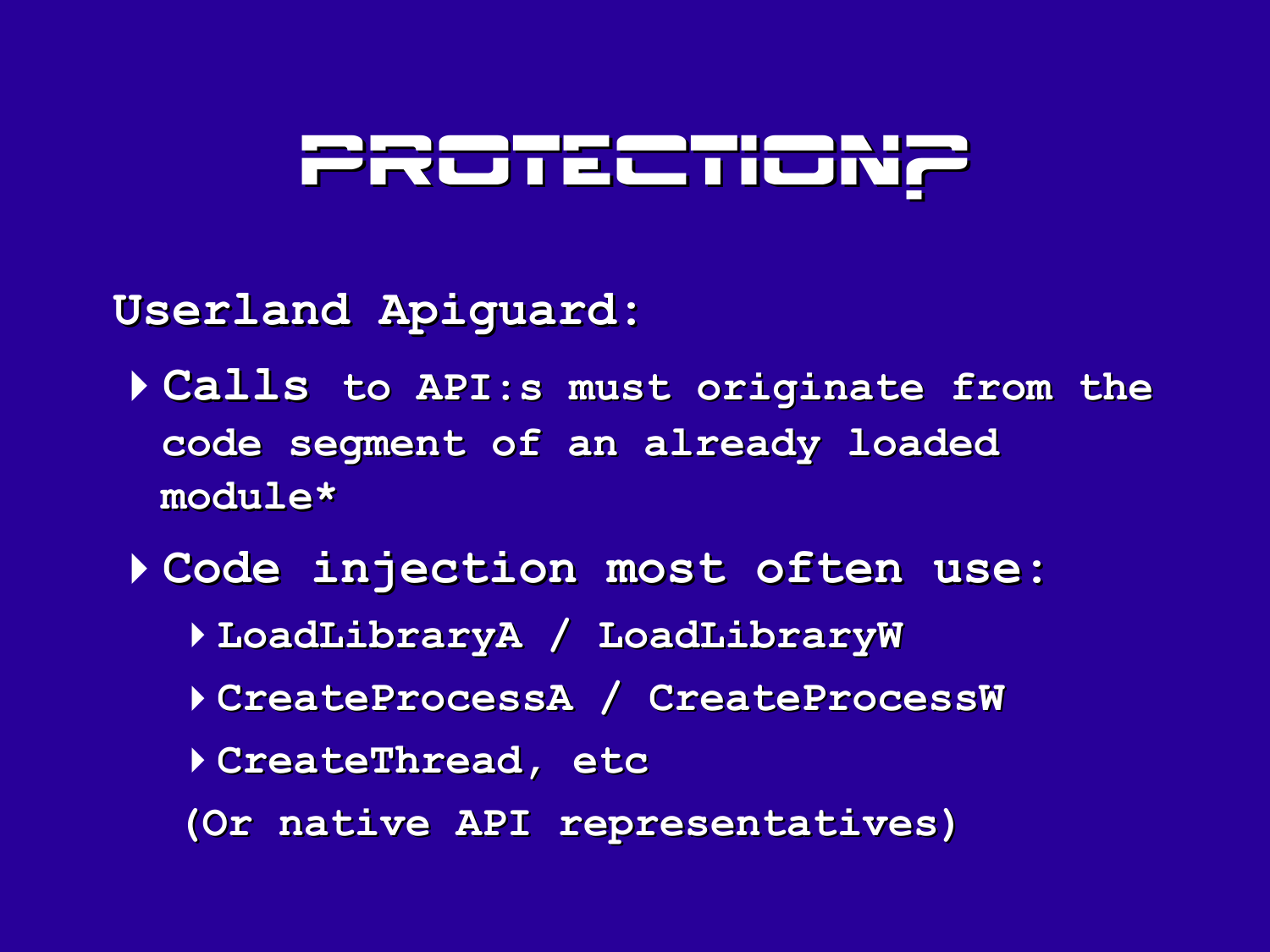# PROTECTIO

**Userland Apiguard:**

- 4**Calls to API:s must originate from the code segment of an already loaded module\***
- 4**Code injection most often use:**
	- 4**LoadLibraryA / LoadLibraryW**
	- 4**CreateProcessA / CreateProcessW**
	- 4**CreateThread, etc**
	- **(Or native API representatives)**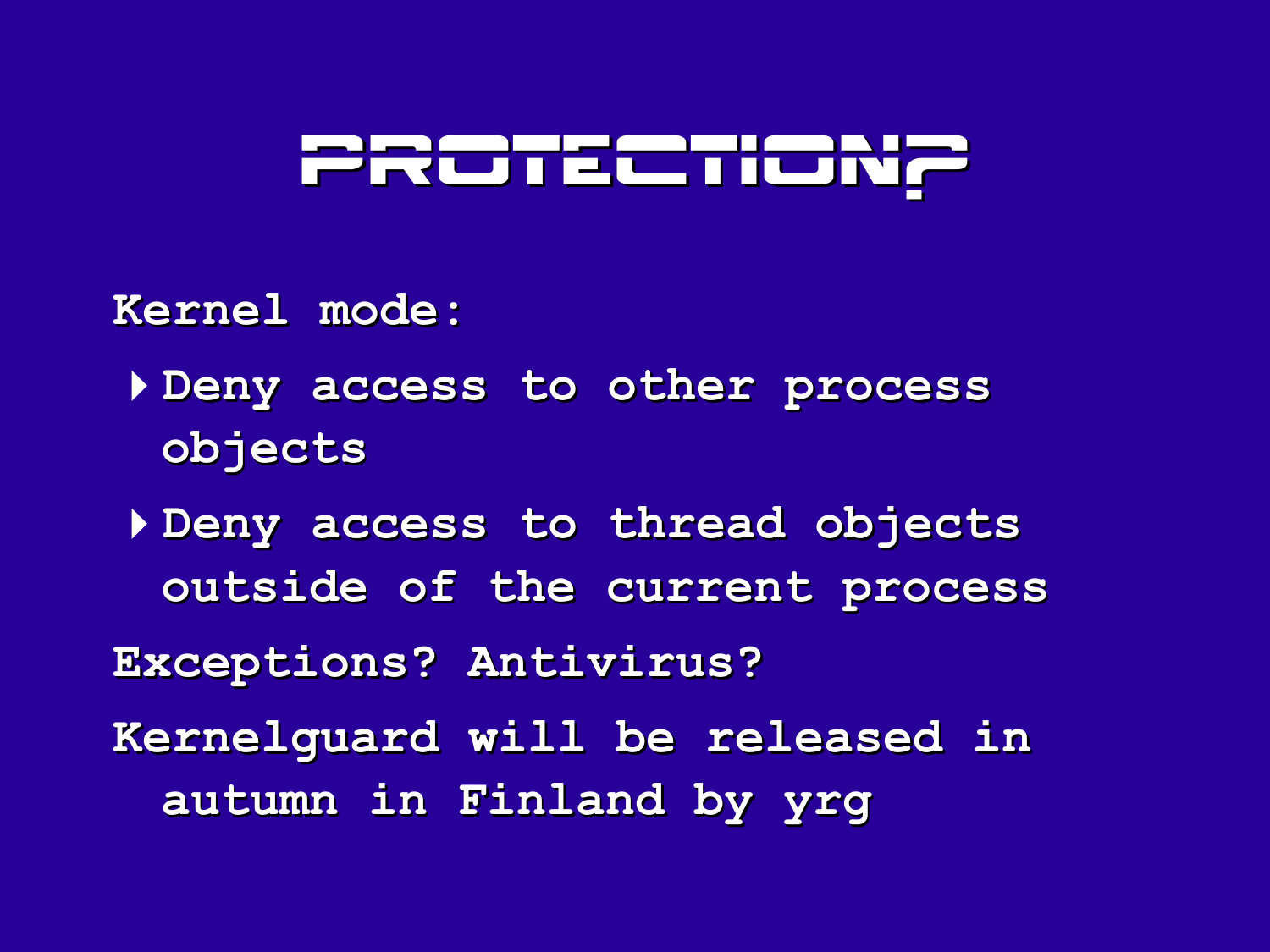

**Kernel mode:**

4**Deny access to other process objects**

4**Deny access to thread objects outside of the current process Exceptions? Antivirus? Kernelguard will be released in autumn in Finland by yrg**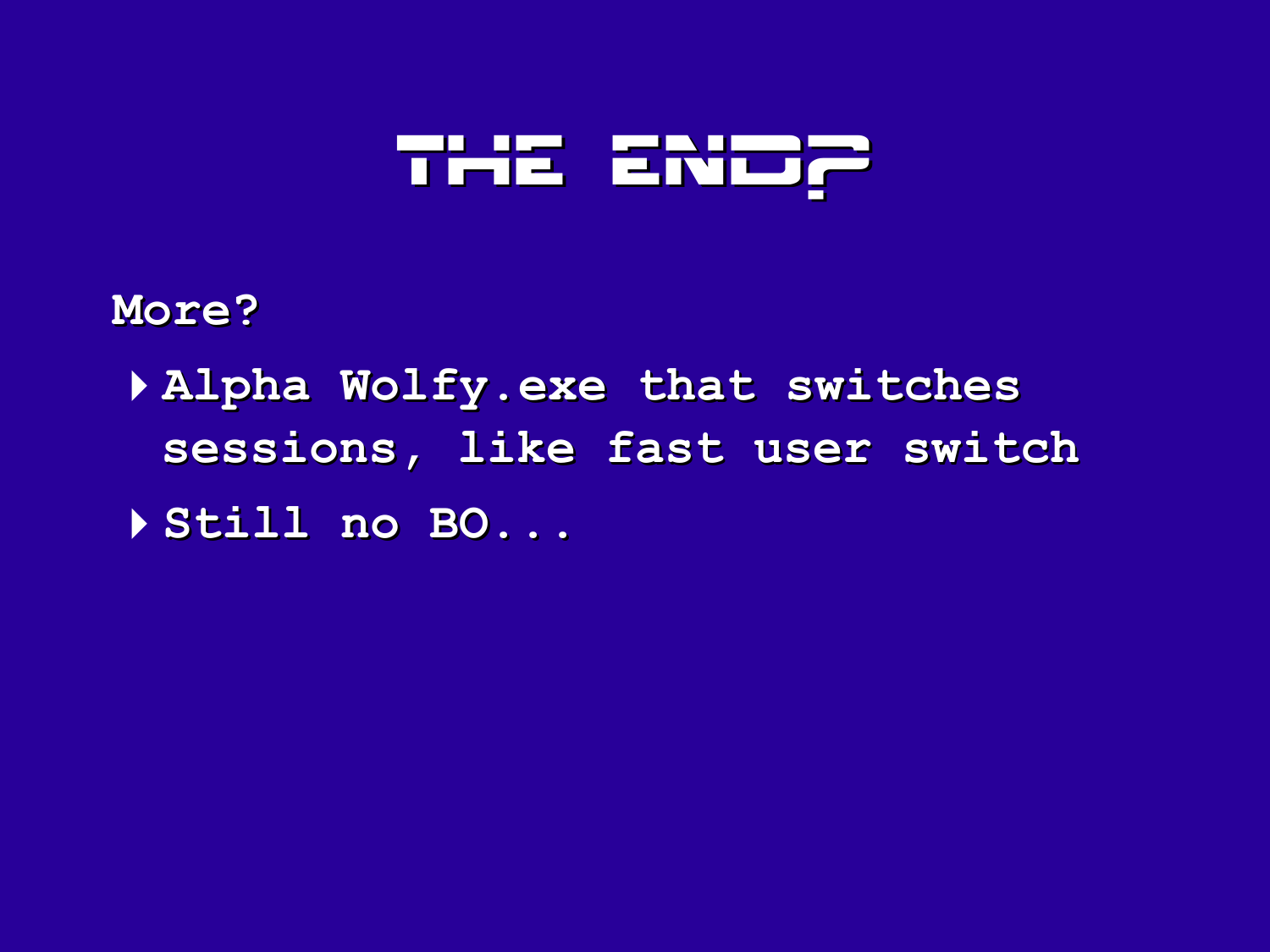### THE END?

**More?**

4**Alpha Wolfy.exe that switches sessions, like fast user switch** 4**Still no BO...**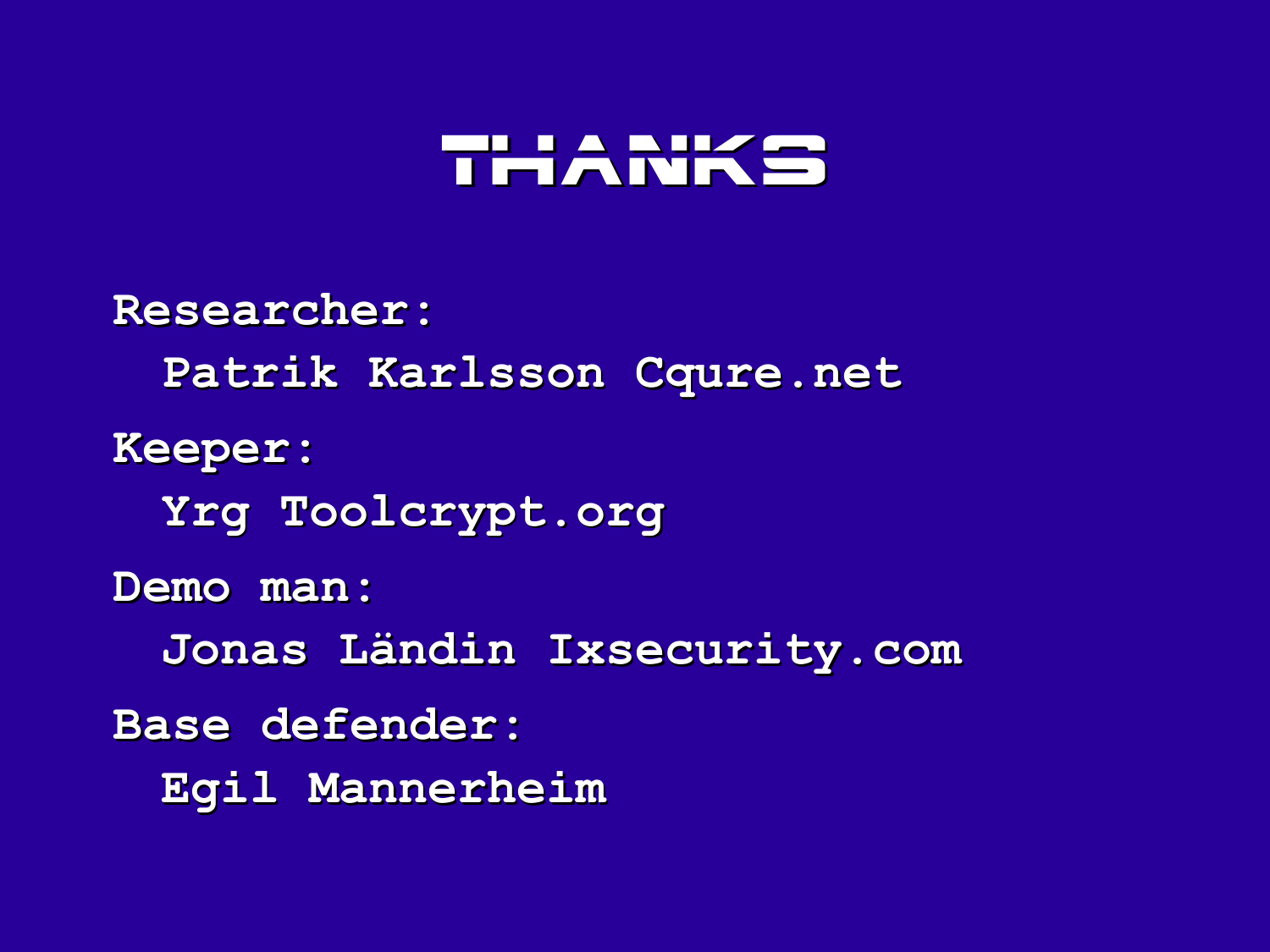#### **THANKS**

**Researcher: Patrik Karlsson Cqure.net Keeper: Yrg Toolcrypt.org Demo man: Jonas Ländin Ixsecurity.com Base defender: Egil Mannerheim**